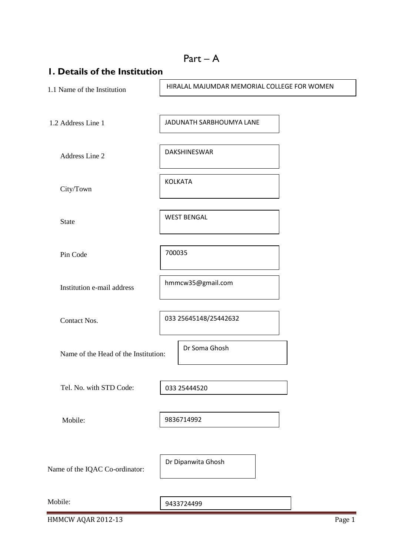| I. Details of the Institution        |                                             |
|--------------------------------------|---------------------------------------------|
| 1.1 Name of the Institution          | HIRALAL MAJUMDAR MEMORIAL COLLEGE FOR WOMEN |
| 1.2 Address Line 1                   | JADUNATH SARBHOUMYA LANE                    |
| Address Line 2                       | DAKSHINESWAR                                |
| City/Town                            | <b>KOLKATA</b>                              |
| <b>State</b>                         | <b>WEST BENGAL</b>                          |
| Pin Code                             | 700035                                      |
| Institution e-mail address           | hmmcw35@gmail.com                           |
| Contact Nos.                         | 033 25645148/25442632                       |
| Name of the Head of the Institution: | Dr Soma Ghosh                               |
| Tel. No. with STD Code:              | 033 25444520                                |
| Mobile:                              | 9836714992                                  |
| Name of the IQAC Co-ordinator:       | Dr Dipanwita Ghosh                          |
| Mobile:                              | 9433724499                                  |

HMMCW AQAR 2012-13 Page 1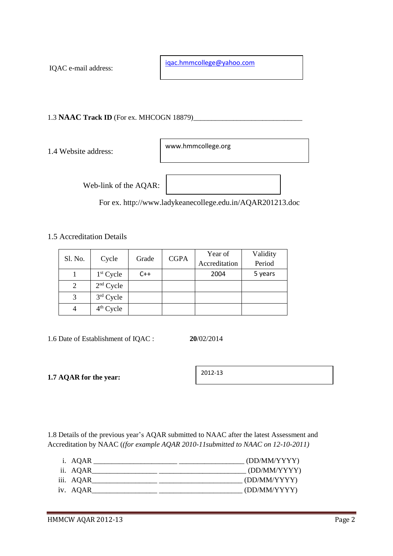IQAC e-mail address:

[iqac.hmmcollege@yahoo.com](mailto:iqac.hmmcollege@yahoo.com)

1.3 **NAAC Track ID** (For ex. MHCOGN 18879)\_\_\_\_\_\_\_\_\_\_\_\_\_\_\_\_\_\_\_\_\_\_\_\_\_\_\_\_\_\_

1.4 Website address:

www.hmmcollege.org

Web-link of the AQAR:

For ex. http://www.ladykeanecollege.edu.in/AQAR201213.doc

1.5 Accreditation Details

| Sl. No. |             | Grade | <b>CGPA</b> | Year of       | Validity |
|---------|-------------|-------|-------------|---------------|----------|
|         | Cycle       |       |             | Accreditation | Period   |
|         | $1st$ Cycle | $C++$ |             | 2004          | 5 years  |
| 2       | $2nd$ Cycle |       |             |               |          |
|         | $3rd$ Cycle |       |             |               |          |
|         | $4th$ Cycle |       |             |               |          |

1.6 Date of Establishment of IQAC : **20**/02/2014

**1.7 AQAR for the year:**

2012-13

1.8 Details of the previous year's AQAR submitted to NAAC after the latest Assessment and Accreditation by NAAC (*(for example AQAR 2010-11submitted to NAAC on 12-10-2011)*

| i. AQAR   | (DD/MM/YYYY) |
|-----------|--------------|
| ii. AQAR  | (DD/MM/YYYY) |
| iii. AQAR | (DD/MM/YYYY) |
| iv. AQAR  | (DD/MM/YYYY) |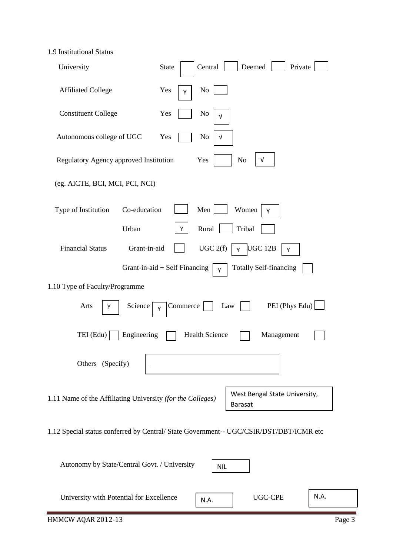1.9 Institutional Status

| University                                                 | Deemed<br>Central<br>Private<br><b>State</b>                                           |
|------------------------------------------------------------|----------------------------------------------------------------------------------------|
| <b>Affiliated College</b>                                  | No<br>Yes<br>Υ                                                                         |
| <b>Constituent College</b>                                 | N <sub>0</sub><br>Yes<br>V                                                             |
| Autonomous college of UGC                                  | Yes<br>No<br>V                                                                         |
| Regulatory Agency approved Institution                     | V<br>Yes<br>N <sub>o</sub>                                                             |
| (eg. AICTE, BCI, MCI, PCI, NCI)                            |                                                                                        |
| Co-education<br>Type of Institution                        | Men<br>Women<br>Υ                                                                      |
| Urban                                                      | Y<br>Rural<br>Tribal                                                                   |
| <b>Financial Status</b><br>Grant-in-aid                    | UGC 2(f)<br><b>UGC 12B</b><br>Y<br>Υ                                                   |
|                                                            | Grant-in-aid + Self Financing<br><b>Totally Self-financing</b><br>Y                    |
| 1.10 Type of Faculty/Programme                             |                                                                                        |
| Arts<br>Science<br>Y                                       | Commerce<br>PEI (Phys Edu)<br>Law<br>Y                                                 |
| TEI (Edu)<br>Engineering                                   | <b>Health Science</b><br>Management                                                    |
| Others (Specify)                                           |                                                                                        |
| 1.11 Name of the Affiliating University (for the Colleges) | West Bengal State University,<br><b>Barasat</b>                                        |
|                                                            | 1.12 Special status conferred by Central/ State Government-- UGC/CSIR/DST/DBT/ICMR etc |

| Autonomy by State/Central Govt. / University | <b>NIL</b> |                |      |  |
|----------------------------------------------|------------|----------------|------|--|
| University with Potential for Excellence     | N.A.       | <b>UGC-CPE</b> | N.A. |  |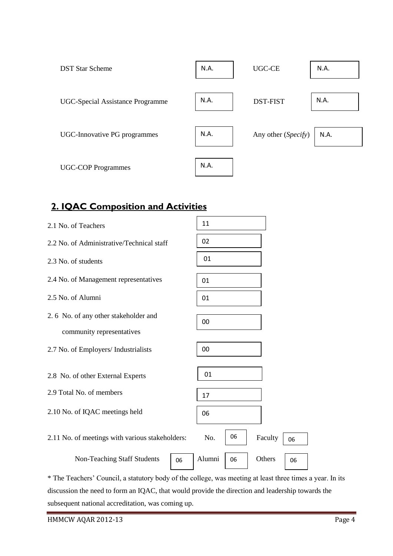| <b>DST Star Scheme</b>           | N.A. | UGC-CE              | N.A. |
|----------------------------------|------|---------------------|------|
| UGC-Special Assistance Programme | N.A. | <b>DST-FIST</b>     | N.A. |
| UGC-Innovative PG programmes     | N.A. | Any other (Specify) | N.A. |
| <b>UGC-COP Programmes</b>        | N.A. |                     |      |

# **2. IQAC Composition and Activities**

| 2.1 No. of Teachers                                               | 11                           |
|-------------------------------------------------------------------|------------------------------|
| 2.2 No. of Administrative/Technical staff                         | 02                           |
| 2.3 No. of students                                               | 01                           |
| 2.4 No. of Management representatives                             | 01                           |
| 2.5 No. of Alumni                                                 | 01                           |
| 2.6 No. of any other stakeholder and<br>community representatives | 00                           |
| 2.7 No. of Employers/ Industrialists                              | 00                           |
| 2.8 No. of other External Experts                                 | 01                           |
| 2.9 Total No. of members                                          | 17                           |
| 2.10 No. of IQAC meetings held                                    | 06                           |
| 2.11 No. of meetings with various stakeholders:                   | 06<br>No.<br>Faculty<br>06   |
| <b>Non-Teaching Staff Students</b><br>06                          | Alumni<br>Others<br>06<br>06 |

\* The Teachers' Council, a statutory body of the college, was meeting at least three times a year. In its discussion the need to form an IQAC, that would provide the direction and leadership towards the subsequent national accreditation, was coming up.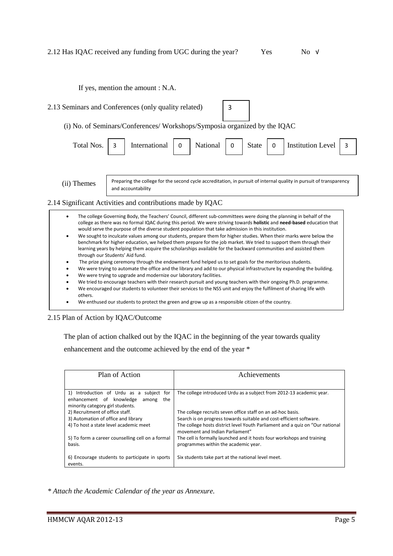If yes, mention the amount : N.A.

2.13 Seminars and Conferences (only quality related) (i) No. of Seminars/Conferences/ Workshops/Symposia organized by the IQAC Total Nos. 3 | International | 0 | National | 0 | State | 0 | Institution Level | 3 3

(ii) Themes

Preparing the college for the second cycle accreditation, in pursuit of internal quality in pursuit of transparency and accountability

### 2.14 Significant Activities and contributions made by IQAC

- The college Governing Body, the Teachers' Council, different sub-committees were doing the planning in behalf of the college as there was no formal IQAC during this period. We were striving towards **holistic** and **need-based** education that would serve the purpose of the diverse student population that take admission in this institution.
- We sought to inculcate values among our students, prepare them for higher studies. When their marks were below the benchmark for higher education, we helped them prepare for the job market. We tried to support them through their learning years by helping them acquire the scholarships available for the backward communities and assisted them through our Students' Aid fund.
- The prize giving ceremony through the endowment fund helped us to set goals for the meritorious students.
- We were trying to automate the office and the library and add to our physical infrastructure by expanding the building.
- We were trying to upgrade and modernize our laboratory facilities.
- We tried to encourage teachers with their research pursuit and young teachers with their ongoing Ph.D. programme.
- We encouraged our students to volunteer their services to the NSS unit and enjoy the fulfilment of sharing life with others.
- We enthused our students to protect the green and grow up as a responsible citizen of the country.

### 2.15 Plan of Action by IQAC/Outcome

The plan of action chalked out by the IQAC in the beginning of the year towards quality

enhancement and the outcome achieved by the end of the year \*

| Plan of Action                                                                                                              | Achievements                                                                                                      |
|-----------------------------------------------------------------------------------------------------------------------------|-------------------------------------------------------------------------------------------------------------------|
|                                                                                                                             |                                                                                                                   |
| 1) Introduction of Urdu as a subject<br>for<br>enhancement of knowledge<br>the<br>among<br>minority category girl students. | The college introduced Urdu as a subject from 2012-13 academic year.                                              |
| 2) Recruitment of office staff.                                                                                             | The college recruits seven office staff on an ad-hoc basis.                                                       |
| 3) Automation of office and library                                                                                         | Search is on progress towards suitable and cost-efficient software.                                               |
| 4) To host a state level academic meet                                                                                      | The college hosts district level Youth Parliament and a quiz on "Our national"<br>movement and Indian Parliament" |
| 5) To form a career counselling cell on a formal<br>basis.                                                                  | The cell is formally launched and it hosts four workshops and training<br>programmes within the academic year.    |
|                                                                                                                             |                                                                                                                   |
| 6) Encourage students to participate in sports<br>events.                                                                   | Six students take part at the national level meet.                                                                |

*\* Attach the Academic Calendar of the year as Annexure.*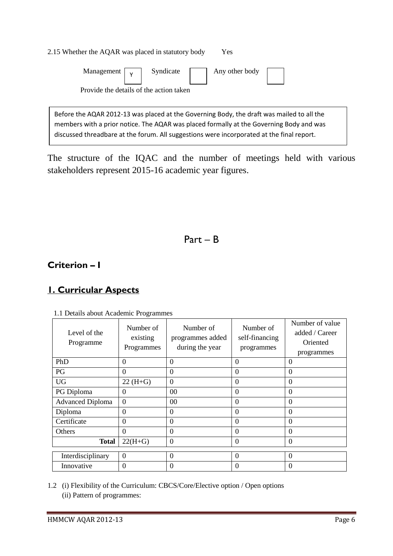| 2.15 Whether the AQAR was placed in statutory body<br><b>Yes</b>                          |  |  |  |  |  |
|-------------------------------------------------------------------------------------------|--|--|--|--|--|
| Management $\boxed{y}$ Syndicate $\boxed{\phantom{a}}$ Any other body                     |  |  |  |  |  |
| Provide the details of the action taken                                                   |  |  |  |  |  |
|                                                                                           |  |  |  |  |  |
| Before the AQAR 2012-13 was placed at the Governing Body, the draft was mailed to all the |  |  |  |  |  |

members with a prior notice. The AQAR was placed formally at the Governing Body and was discussed threadbare at the forum. All suggestions were incorporated at the final report.

The structure of the IQAC and the number of meetings held with various stakeholders represent 2015-16 academic year figures.

Part – B

## **Criterion – I**

# **1. Curricular Aspects**

| Level of the<br>Programme | Number of<br>existing<br>Programmes | Number of<br>programmes added<br>during the year | Number of<br>self-financing<br>programmes | Number of value<br>added / Career<br>Oriented<br>programmes |
|---------------------------|-------------------------------------|--------------------------------------------------|-------------------------------------------|-------------------------------------------------------------|
| PhD                       | $\theta$                            | $\Omega$                                         | $\Omega$                                  | $\Omega$                                                    |
| PG                        | $\theta$                            | $\overline{0}$                                   | $\theta$                                  | $\theta$                                                    |
| <b>UG</b>                 | $22(H+G)$                           | $\overline{0}$                                   | $\Omega$                                  | $\theta$                                                    |
| PG Diploma                | $\Omega$                            | $00 \,$                                          | $\Omega$                                  | $\theta$                                                    |
| <b>Advanced Diploma</b>   | $\overline{0}$                      | 00                                               | $\Omega$                                  | $\theta$                                                    |
| Diploma                   | $\theta$                            | $\overline{0}$                                   | $\Omega$                                  | $\theta$                                                    |
| Certificate               | $\overline{0}$                      | $\theta$                                         | $\Omega$                                  | $\overline{0}$                                              |
| Others                    | $\theta$                            | $\overline{0}$                                   | $\Omega$                                  | $\theta$                                                    |
| <b>Total</b>              | $22(H+G)$                           | $\theta$                                         | $\Omega$                                  | $\theta$                                                    |
| Interdisciplinary         | $\Omega$                            | $\overline{0}$                                   | $\Omega$                                  | $\theta$                                                    |
| Innovative                | $\mathbf{0}$                        | $\mathbf{0}$                                     | $\theta$                                  | $\boldsymbol{0}$                                            |

1.1 Details about Academic Programmes

1.2 (i) Flexibility of the Curriculum: CBCS/Core/Elective option / Open options (ii) Pattern of programmes: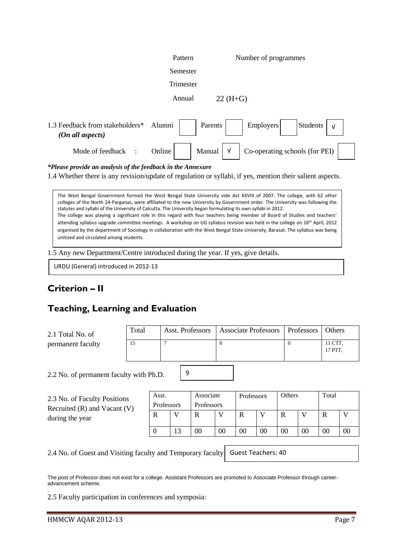|                                                     | Pattern   | Number of programmes                                   |
|-----------------------------------------------------|-----------|--------------------------------------------------------|
|                                                     | Semester  |                                                        |
|                                                     | Trimester |                                                        |
|                                                     | Annual    | $22 (H + G)$                                           |
| 1.3 Feedback from stakeholders*<br>(On all aspects) | Alumni    | Students<br>Employers<br>Parents<br>$\sqrt{ }$         |
| Mode of feedback                                    | Online    | Co-operating schools (for PEI)<br>Manual<br>$\sqrt{ }$ |

*\*Please provide an analysis of the feedback in the Annexure*

1.4 Whether there is any revision/update of regulation or syllabi, if yes, mention their salient aspects.

The West Bengal Government formed the West Bengal State University vide Act XXVIII of 2007. The college, with 62 other colleges of the North 24-Parganas, were affiliated to the new University by Government order. The University was following the statutes and syllabi of the University of Calcutta. The University began formulating its own syllabi in 2012. The college was playing a significant role in this regard with four teachers being member of Board of Studies and teachers' attending syllabus upgrade committee meetings. A workshop on UG syllabus revision was held in the college on 18th April, 2012 organised by the department of Sociology in collaboration with the West Bengal State University, Barasat. The syllabus was being unitized and circulated among students.

1.5 Any new Department/Centre introduced during the year. If yes, give details.

URDU (General) introduced in 2012-13

## **Criterion – II**

## **Teaching, Learning and Evaluation**

| 2.1 Total No. of  | Total | Asst. Professors   Associate Professors   Professors   Others |                    |
|-------------------|-------|---------------------------------------------------------------|--------------------|
| permanent faculty |       |                                                               | 11 CTT.<br>17 PTT. |

9

2.2 No. of permanent faculty with Ph.D.

| 2.3 No. of Faculty Positions<br>Recruited $(R)$ and Vacant $(V)$ | Asst.<br>Professors |    | Associate<br>Professors |    | Professors |                | Others |                | Total |                |
|------------------------------------------------------------------|---------------------|----|-------------------------|----|------------|----------------|--------|----------------|-------|----------------|
| during the year                                                  | R                   |    | R                       |    | R          |                | R      |                |       |                |
|                                                                  |                     | 13 | 00                      | 00 | 00         | 0 <sub>0</sub> | 00     | 0 <sub>0</sub> | 00    | 0 <sub>0</sub> |

2.4 No. of Guest and Visiting faculty and Temporary faculty

Guest Teachers: 40

The post of Professor does not exist for a college. Assistant Professors are promoted to Associate Professor through careeradvancement scheme. .

2.5 Faculty participation in conferences and symposia: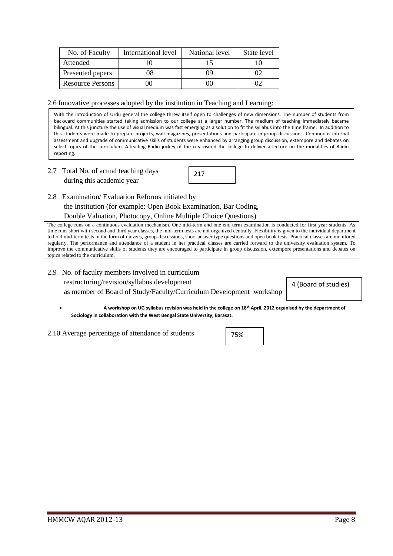| No. of Faculty          | International level | National level | State level |
|-------------------------|---------------------|----------------|-------------|
| Attended                |                     |                |             |
| Presented papers        | 08                  | ΩO             |             |
| <b>Resource Persons</b> | ЛJ                  | ററ             |             |

2.6 Innovative processes adopted by the institution in Teaching and Learning:

With the introduction of Urdu general the college threw itself open to challenges of new dimensions. The number of students from backward communities started taking admission to our college at a larger number. The medium of teaching immediately became bilingual. At this juncture the use of visual medium was fast emerging as a solution to fit the syllabus into the time frame. In addition to this students were made to prepare projects, wall magazines, presentations and participate in group discussions. Continuous internal assessment and upgrade of communicative skills of students were enhanced by arranging group discussion, extempore and debates on select topics of the curriculum. A leading Radio jockey of the city visited the college to deliver a lecture on the modalities of Radio reporting.

2.7 Total No. of actual teaching days during this academic year

| 217 |  |
|-----|--|
|     |  |

2.8 Examination/ Evaluation Reforms initiated by

the Institution (for example: Open Book Examination, Bar Coding,

Double Valuation, Photocopy, Online Multiple Choice Questions)

The college runs on a continuous evaluation mechanism. One mid-term and one end term examination is conducted for first year students. As time runs short with second and third year classes, the mid-term tests are not organized centrally. Flexibility is given to the individual department to hold mid-term tests in the form of quizzes, group-discussions, short-answer type questions and open book tests. Practical classes are monitored regularly. The performance and attendance of a student in her practical classes are carried forward to the university evaluation system. To improve the communicative skills of students they are encouraged to participate in group discussion, extempore presentations and debates on topics related to the curriculum.

2.9 No. of faculty members involved in curriculum restructuring/revision/syllabus development as member of Board of Study/Faculty/Curriculum Development workshop

4 (Board of studies)

- **A workshop on UG syllabus revision was held in the college on 18th April, 2012 organised by the department of Sociology in collaboration with the West Bengal State University, Barasat.**
- 2.10 Average percentage of attendance of students

75%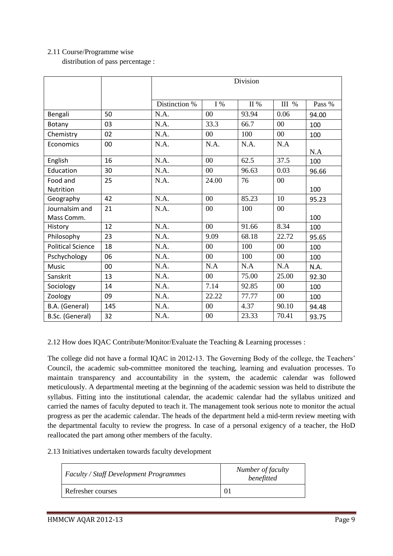## 2.11 Course/Programme wise

distribution of pass percentage :

|                          |     | Division      |       |         |        |        |  |  |
|--------------------------|-----|---------------|-------|---------|--------|--------|--|--|
|                          |     |               |       |         |        |        |  |  |
|                          |     | Distinction % | $I\%$ | $\Pi$ % | III %  | Pass % |  |  |
| Bengali                  | 50  | N.A.          | 00    | 93.94   | 0.06   | 94.00  |  |  |
| Botany                   | 03  | N.A.          | 33.3  | 66.7    | $00\,$ | 100    |  |  |
| Chemistry                | 02  | N.A.          | 00    | 100     | $00\,$ | 100    |  |  |
| Economics                | 00  | N.A.          | N.A.  | N.A.    | N.A    |        |  |  |
|                          |     |               |       |         |        | N.A    |  |  |
| English                  | 16  | N.A.          | 00    | 62.5    | 37.5   | 100    |  |  |
| Education                | 30  | N.A.          | 00    | 96.63   | 0.03   | 96.66  |  |  |
| Food and                 | 25  | N.A.          | 24.00 | 76      | $00\,$ |        |  |  |
| Nutrition                |     |               |       |         |        | 100    |  |  |
| Geography                | 42  | N.A.          | 00    | 85.23   | 10     | 95.23  |  |  |
| Journalsim and           | 21  | N.A.          | 00    | 100     | 00     |        |  |  |
| Mass Comm.               |     |               |       |         |        | 100    |  |  |
| History                  | 12  | N.A.          | 00    | 91.66   | 8.34   | 100    |  |  |
| Philosophy               | 23  | N.A.          | 9.09  | 68.18   | 22.72  | 95.65  |  |  |
| <b>Political Science</b> | 18  | N.A.          | 00    | 100     | $00\,$ | 100    |  |  |
| Pschychology             | 06  | N.A.          | 00    | 100     | $00\,$ | 100    |  |  |
| Music                    | 00  | N.A.          | N.A   | N.A     | N.A    | N.A.   |  |  |
| Sanskrit                 | 13  | N.A.          | 00    | 75.00   | 25.00  | 92.30  |  |  |
| Sociology                | 14  | N.A.          | 7.14  | 92.85   | $00\,$ | 100    |  |  |
| Zoology                  | 09  | N.A.          | 22.22 | 77.77   | $00\,$ | 100    |  |  |
| B.A. (General)           | 145 | N.A.          | 00    | 4.37    | 90.10  | 94.48  |  |  |
| B.Sc. (General)          | 32  | N.A.          | 00    | 23.33   | 70.41  | 93.75  |  |  |

2.12 How does IQAC Contribute/Monitor/Evaluate the Teaching & Learning processes :

The college did not have a formal IQAC in 2012-13. The Governing Body of the college, the Teachers' Council, the academic sub-committee monitored the teaching, learning and evaluation processes. To maintain transparency and accountability in the system, the academic calendar was followed meticulously. A departmental meeting at the beginning of the academic session was held to distribute the syllabus. Fitting into the institutional calendar, the academic calendar had the syllabus unitized and carried the names of faculty deputed to teach it. The management took serious note to monitor the actual progress as per the academic calendar. The heads of the department held a mid-term review meeting with the departmental faculty to review the progress. In case of a personal exigency of a teacher, the HoD reallocated the part among other members of the faculty.

2.13 Initiatives undertaken towards faculty development

| <b>Faculty / Staff Development Programmes</b> | Number of faculty<br>benefitted |
|-----------------------------------------------|---------------------------------|
| Refresher courses                             |                                 |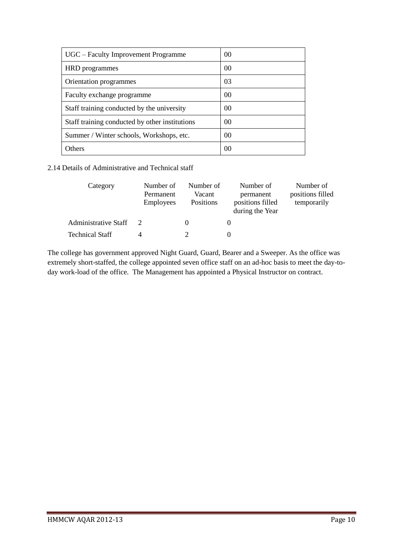| UGC – Faculty Improvement Programme            | 0 <sup>0</sup> |
|------------------------------------------------|----------------|
| HRD programmes                                 | 0 <sup>0</sup> |
| Orientation programmes                         | 03             |
| Faculty exchange programme                     | 0 <sup>0</sup> |
| Staff training conducted by the university     | 00             |
| Staff training conducted by other institutions | 0 <sup>0</sup> |
| Summer / Winter schools, Workshops, etc.       | 0 <sup>0</sup> |
| Others                                         | 0 <sup>0</sup> |

2.14 Details of Administrative and Technical staff

| Category               | Number of<br>Permanent<br><b>Employees</b> | Number of<br>Vacant<br>Positions | Number of<br>permanent<br>positions filled<br>during the Year | Number of<br>positions filled<br>temporarily |
|------------------------|--------------------------------------------|----------------------------------|---------------------------------------------------------------|----------------------------------------------|
| Administrative Staff   |                                            |                                  |                                                               |                                              |
| <b>Technical Staff</b> | 4                                          |                                  |                                                               |                                              |

The college has government approved Night Guard, Guard, Bearer and a Sweeper. As the office was extremely short-staffed, the college appointed seven office staff on an ad-hoc basis to meet the day-today work-load of the office. The Management has appointed a Physical Instructor on contract.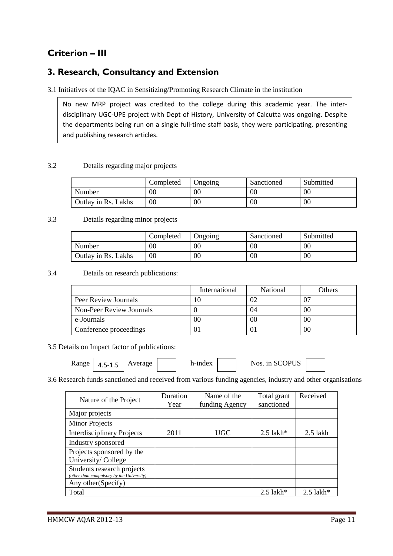# **Criterion – III**

## **3. Research, Consultancy and Extension**

3.1 Initiatives of the IQAC in Sensitizing/Promoting Research Climate in the institution

No new MRP project was credited to the college during this academic year. The interdisciplinary UGC-UPE project with Dept of History, University of Calcutta was ongoing. Despite the departments being run on a single full-time staff basis, they were participating, presenting and publishing research articles.

## 3.2 Details regarding major projects

|                     | Completed | Ongoing | Sanctioned | Submitted |
|---------------------|-----------|---------|------------|-----------|
| Number              | 00        | 00      | $00\,$     | $00\,$    |
| Outlay in Rs. Lakhs | $00\,$    | 00      | $00\,$     | 00        |

## 3.3 Details regarding minor projects

|                     | Completed | Ongoing | Sanctioned | Submitted |
|---------------------|-----------|---------|------------|-----------|
| Number              | $00\,$    | 00      | 00         | 00        |
| Outlay in Rs. Lakhs | 00        | 00      | $00\,$     | 00        |

3.4 Details on research publications:

|                          | International | <b>National</b> | Others |
|--------------------------|---------------|-----------------|--------|
| Peer Review Journals     |               |                 |        |
| Non-Peer Review Journals |               | 04              | 00     |
| e-Journals               | OC            | 00              | 00     |
| Conference proceedings   |               |                 | 00     |

3.5 Details on Impact factor of publications:

| <b>Range</b> | $A$ $\Gamma$ $A$ $\Gamma$<br>$\sim$ $\sim$ $\sim$<br>т.<br>∸. – | Average |  | h-index |  | Nos. in SCOPUS |  |
|--------------|-----------------------------------------------------------------|---------|--|---------|--|----------------|--|
|--------------|-----------------------------------------------------------------|---------|--|---------|--|----------------|--|

3.6 Research funds sanctioned and received from various funding agencies, industry and other organisations

| Nature of the Project                                                   | Duration<br>Year | Name of the<br>funding Agency | Total grant<br>sanctioned | Received                |
|-------------------------------------------------------------------------|------------------|-------------------------------|---------------------------|-------------------------|
| Major projects                                                          |                  |                               |                           |                         |
| <b>Minor Projects</b>                                                   |                  |                               |                           |                         |
| <b>Interdisciplinary Projects</b>                                       | 2011             | <b>UGC</b>                    | $2.5$ lakh*               | $2.5$ lakh              |
| Industry sponsored                                                      |                  |                               |                           |                         |
| Projects sponsored by the<br>University/College                         |                  |                               |                           |                         |
| Students research projects<br>(other than compulsory by the University) |                  |                               |                           |                         |
| Any other (Specify)                                                     |                  |                               |                           |                         |
| Total                                                                   |                  |                               | $2.5$ lakh <sup>*</sup>   | $2.5$ lakh <sup>*</sup> |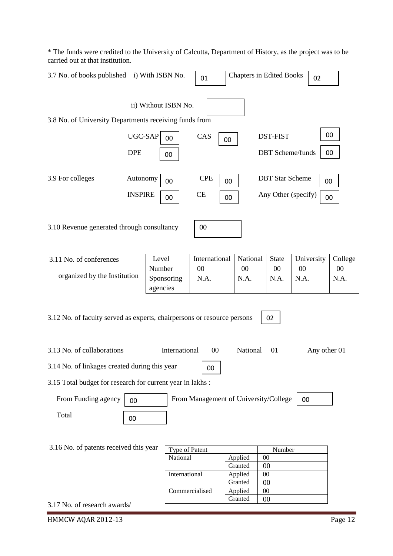\* The funds were credited to the University of Calcutta, Department of History, as the project was to be carried out at that institution.

| 3.7 No. of books published i) With ISBN No.                                                     |                            |                        | 01                                    | <b>Chapters in Edited Books</b> |                                               | 02           |          |  |
|-------------------------------------------------------------------------------------------------|----------------------------|------------------------|---------------------------------------|---------------------------------|-----------------------------------------------|--------------|----------|--|
| 3.8 No. of University Departments receiving funds from                                          |                            | ii) Without ISBN No.   |                                       |                                 |                                               |              |          |  |
|                                                                                                 | UGC-SAP<br><b>DPE</b>      | 00<br>00               | CAS<br>00                             |                                 | <b>DST-FIST</b><br><b>DBT</b> Scheme/funds    |              | 00<br>00 |  |
| 3.9 For colleges                                                                                | Autonomy<br><b>INSPIRE</b> | 00<br>00               | <b>CPE</b><br>00<br><b>CE</b><br>00   |                                 | <b>DBT</b> Star Scheme<br>Any Other (specify) | 00<br>00     |          |  |
| 3.10 Revenue generated through consultancy                                                      |                            |                        | 00                                    |                                 |                                               |              |          |  |
| 3.11 No. of conferences                                                                         |                            | Level                  | International                         | National                        | <b>State</b>                                  | University   | College  |  |
|                                                                                                 |                            | Number                 | $00\,$                                | $00\,$                          | $00\,$                                        | 00           | 00       |  |
| organized by the Institution                                                                    |                            | Sponsoring<br>agencies | N.A.                                  | N.A.                            | N.A.                                          | N.A.         | N.A.     |  |
| 3.12 No. of faculty served as experts, chairpersons or resource persons                         |                            |                        |                                       |                                 | 02                                            |              |          |  |
| 3.13 No. of collaborations                                                                      |                            | International          | 00                                    | National                        | 01                                            | Any other 01 |          |  |
| 3.14 No. of linkages created during this year                                                   |                            |                        | 00                                    |                                 |                                               |              |          |  |
| 3.15 Total budget for research for current year in lakhs:                                       |                            |                        |                                       |                                 |                                               |              |          |  |
| From Funding agency                                                                             | 00                         |                        | From Management of University/College |                                 |                                               | 00           |          |  |
| Total                                                                                           | 00                         |                        |                                       |                                 |                                               |              |          |  |
| 3.16 No. of patents received this year<br>Type of Patent<br>Number<br>National<br>Applied<br>00 |                            |                        |                                       |                                 |                                               |              |          |  |
|                                                                                                 |                            |                        |                                       | Granted                         | 00                                            |              |          |  |
|                                                                                                 |                            | International          |                                       | Applied                         | $00\,$                                        |              |          |  |
|                                                                                                 |                            |                        |                                       | Granted                         | 00                                            |              |          |  |
|                                                                                                 |                            |                        | Commercialised                        | Applied                         | 00                                            |              |          |  |
| 3.17 No. of research awards/                                                                    |                            |                        |                                       | Granted                         | 00                                            |              |          |  |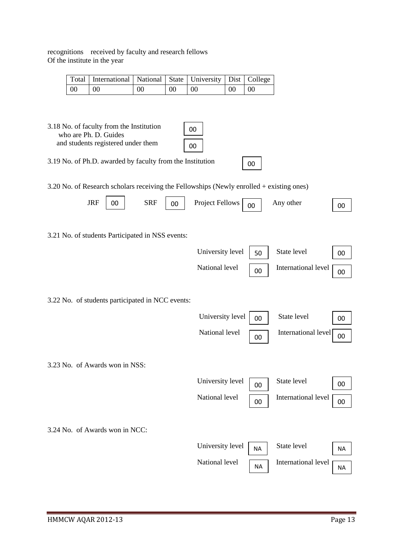recognitions received by faculty and research fellows

|                 | Total   International   National   State   University   Dist   College |    |                 |           |  |
|-----------------|------------------------------------------------------------------------|----|-----------------|-----------|--|
| $\overline{00}$ | $\overline{00}$                                                        | 00 | $\overline{00}$ | $\sim 00$ |  |

3.18 No. of faculty from the Institution who are Ph. D. Guides and students registered under them

| lents registered under them |  |  |  |  |  |  | $\overline{)}$ 00 |  |  |
|-----------------------------|--|--|--|--|--|--|-------------------|--|--|
| $\cdots$                    |  |  |  |  |  |  | . .               |  |  |

3.19 No. of Ph.D. awarded by faculty from the Institution

3.20 No. of Research scholars receiving the Fellowships (Newly enrolled + existing ones)

00

00

| <b>JRF</b>                                       | 00 | <b>SRF</b> | 00 | <b>Project Fellows</b> | 00        | Any other           | 00 |
|--------------------------------------------------|----|------------|----|------------------------|-----------|---------------------|----|
| 3.21 No. of students Participated in NSS events: |    |            |    |                        |           |                     |    |
|                                                  |    |            |    | University level       | 50        | State level         | 00 |
|                                                  |    |            |    | National level         | 00        | International level | 00 |
| 3.22 No. of students participated in NCC events: |    |            |    |                        |           |                     |    |
|                                                  |    |            |    | University level       | 00        | State level         | 00 |
|                                                  |    |            |    | National level         | 00        | International level | 00 |
| 3.23 No. of Awards won in NSS:                   |    |            |    |                        |           |                     |    |
|                                                  |    |            |    | University level       | 00        | State level         | 00 |
|                                                  |    |            |    | National level         | 00        | International level | 00 |
| 3.24 No. of Awards won in NCC:                   |    |            |    |                        |           |                     |    |
|                                                  |    |            |    | University level       | <b>NA</b> | State level         | NA |

National level  $\begin{array}{|c|c|} \hline \text{NA} & \text{International level} \\ \hline \end{array}$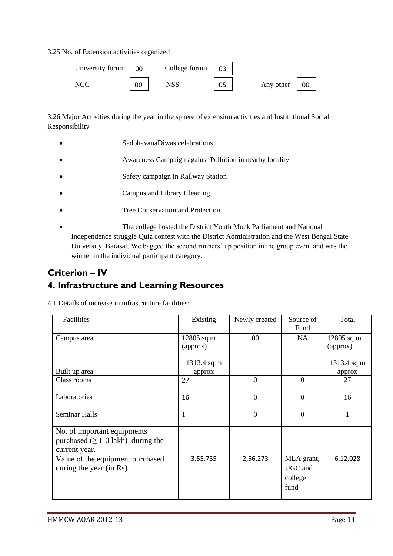3.25 No. of Extension activities organized



3.26 Major Activities during the year in the sphere of extension activities and Institutional Social Responsibility

- SadbhavanaDiwas celebrations
- Awareness Campaign against Pollution in nearby locality
- Safety campaign in Railway Station
- Campus and Library Cleaning
- Tree Conservation and Protection
- The college hosted the District Youth Mock Parliament and National Independence struggle Quiz contest with the District Administration and the West Bengal State University, Barasat. We bagged the second runners' up position in the group event and was the winner in the individual participant category.

## **Criterion – IV 4. Infrastructure and Learning Resources**

4.1 Details of increase in infrastructure facilities:

| Facilities                                                                               | Existing                 | Newly created  | Source of<br>Fund                        | Total                    |
|------------------------------------------------------------------------------------------|--------------------------|----------------|------------------------------------------|--------------------------|
| Campus area                                                                              | $12805$ sq m<br>(approx) | $00\,$         | <b>NA</b>                                | $12805$ sq m<br>(approx) |
| Built up area                                                                            | 1313.4 sq m<br>approx    |                |                                          | 1313.4 sq m<br>approx    |
| Class rooms                                                                              | 27                       | $\Omega$       | $\overline{0}$                           | 27                       |
| Laboratories                                                                             | 16                       | $\overline{0}$ | $\boldsymbol{0}$                         | 16                       |
| <b>Seminar Halls</b>                                                                     | $\mathbf{1}$             | $\overline{0}$ | $\theta$                                 | $\mathbf{1}$             |
| No. of important equipments<br>purchased ( $\geq 1$ -0 lakh) during the<br>current year. |                          |                |                                          |                          |
| Value of the equipment purchased<br>during the year (in Rs)                              | 3,55,755                 | 2,56,273       | MLA grant,<br>UGC and<br>college<br>fund | 6,12,028                 |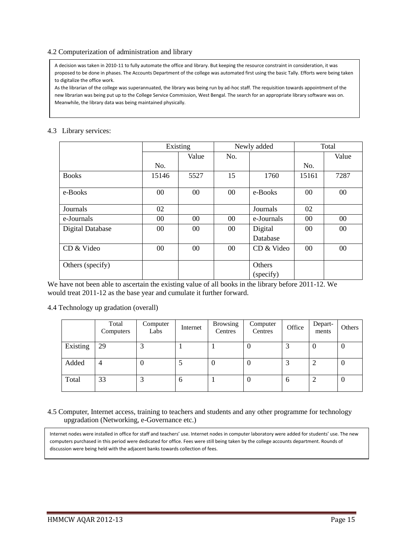### 4.2 Computerization of administration and library

A decision was taken in 2010-11 to fully automate the office and library. But keeping the resource constraint in consideration, it was proposed to be done in phases. The Accounts Department of the college was automated first using the basic Tally. Efforts were being taken to digitalize the office work.

As the librarian of the college was superannuated, the library was being run by ad-hoc staff. The requisition towards appointment of the new librarian was being put up to the College Service Commission, West Bengal. The search for an appropriate library software was on. Meanwhile, the library data was being maintained physically.

## 4.3 Library services:

|                         | Existing |        |        | Newly added | Total  |       |
|-------------------------|----------|--------|--------|-------------|--------|-------|
|                         |          | Value  | No.    |             |        | Value |
|                         | No.      |        |        |             | No.    |       |
| <b>Books</b>            | 15146    | 5527   | 15     | 1760        | 15161  | 7287  |
|                         |          |        |        |             |        |       |
| e-Books                 | 00       | $00\,$ | $00\,$ | e-Books     | $00\,$ | 00    |
|                         |          |        |        |             |        |       |
| Journals                | 02       |        |        | Journals    | 02     |       |
| e-Journals              | 00       | $00\,$ | $00\,$ | e-Journals  | 00     | 00    |
| <b>Digital Database</b> | 00       | $00\,$ | $00\,$ | Digital     | $00\,$ | 00    |
|                         |          |        |        | Database    |        |       |
| CD & Video              | 00       | $00\,$ | $00\,$ | CD & Video  | $00\,$ | 00    |
|                         |          |        |        |             |        |       |
| Others (specify)        |          |        |        | Others      |        |       |
|                         |          |        |        | (specify)   |        |       |

We have not been able to ascertain the existing value of all books in the library before 2011-12. We would treat 2011-12 as the base year and cumulate it further forward.

4.4 Technology up gradation (overall)

|          | Total<br>Computers | Computer<br>Labs | Internet     | <b>Browsing</b><br>Centres | Computer<br>Centres | Office | Depart-<br>ments | Others           |
|----------|--------------------|------------------|--------------|----------------------------|---------------------|--------|------------------|------------------|
| Existing | 29                 |                  |              |                            |                     |        | v                | 0                |
| Added    |                    | O                |              | v                          | U                   |        | ◠                | $\boldsymbol{0}$ |
| Total    | 33                 | 3                | <sub>0</sub> |                            |                     | 6      |                  | $\theta$         |

4.5 Computer, Internet access, training to teachers and students and any other programme for technology upgradation (Networking, e-Governance etc.)

Internet nodes were installed in office for staff and teachers' use. Internet nodes in computer laboratory were added for students' use. The new computers purchased in this period were dedicated for office. Fees were still being taken by the college accounts department. Rounds of discussion were being held with the adjacent banks towards collection of fees.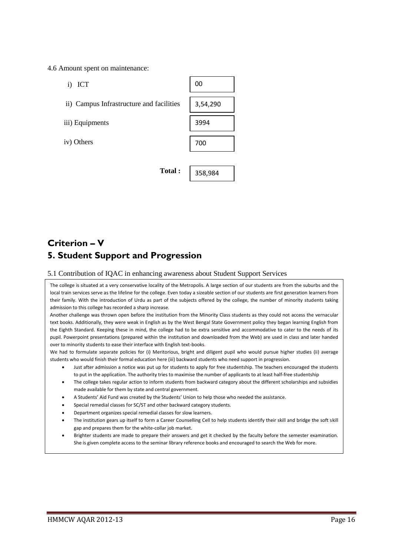4.6 Amount spent on maintenance:

- i) ICT
- ii) Campus Infrastructure and facilities
- iii) Equipments
- iv) Others



358,984

**Total :** 

# **Criterion – V 5. Student Support and Progression**

#### 5.1 Contribution of IQAC in enhancing awareness about Student Support Services

The college is situated at a very conservative locality of the Metropolis. A large section of our students are from the suburbs and the local train services serve as the lifeline for the college. Even today a sizeable section of our students are first generation learners from their family. With the introduction of Urdu as part of the subjects offered by the college, the number of minority students taking admission to this college has recorded a sharp increase.

Another challenge was thrown open before the institution from the Minority Class students as they could not access the vernacular text books. Additionally, they were weak in English as by the West Bengal State Government policy they began learning English from the Eighth Standard. Keeping these in mind, the college had to be extra sensitive and accommodative to cater to the needs of its pupil. Powerpoint presentations (prepared within the institution and downloaded from the Web) are used in class and later handed over to minority students to ease their interface with English text-books.

We had to formulate separate policies for (i) Meritorious, bright and diligent pupil who would pursue higher studies (ii) average students who would finish their formal education here (iii) backward students who need support in progression.

- Just after admission a notice was put up for students to apply for free studentship. The teachers encouraged the students to put in the application. The authority tries to maximise the number of applicants to at least half-free studentship
- The college takes regular action to inform students from backward category about the different scholarships and subsidies made available for them by state and central government.
- A Students' Aid Fund was created by the Students' Union to help those who needed the assistance.
- Special remedial classes for SC/ST and other backward category students.
- Department organizes special remedial classes for slow learners.
- The institution gears up itself to form a Career Counselling Cell to help students identify their skill and bridge the soft skill gap and prepares them for the white-collar job market.
- Brighter students are made to prepare their answers and get it checked by the faculty before the semester examination. She is given complete access to the seminar library reference books and encouraged to search the Web for more.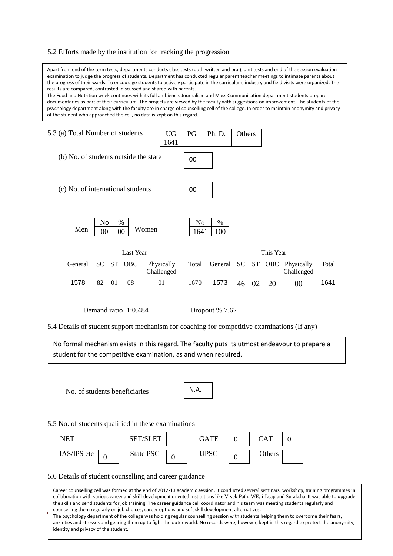#### 5.2 Efforts made by the institution for tracking the progression

Apart from end of the term tests, departments conducts class tests (both written and oral), unit tests and end of the session evaluation examination to judge the progress of students. Department has conducted regular parent teacher meetings to intimate parents about the progress of their wards. To encourage students to actively participate in the curriculum, industry and field visits were organized. The results are compared, contrasted, discussed and shared with parents.

The Food and Nutrition week continues with its full ambience. Journalism and Mass Communication department students prepare documentaries as part of their curriculum. The projects are viewed by the faculty with suggestions on improvement. The students of the psychology department along with the faculty are in charge of counselling cell of the college. In order to maintain anonymity and privacy of the student who approached the cell, no data is kept on this regard.



5.4 Details of student support mechanism for coaching for competitive examinations (If any)

No formal mechanism exists in this regard. The faculty puts its utmost endeavour to prepare a student for the competitive examination, as and when required.

No. of students beneficiaries

|--|

5.5 No. of students qualified in these examinations



#### 5.6 Details of student counselling and career guidance

HE psychology department of the college was holding regular counseling session with students helping them to overcome their rears,<br>| anxieties and stresses and gearing them up to fight the outer world. No records were, how Career counselling cell was formed at the end of 2012-13 academic session. It conducted several seminars, workshop, training programmes in collaboration with various career and skill development oriented institutions like Vivek Path, WE, i-Leap and Suraksha. It was able to upgrade the skills and send students for job training. The career guidance cell coordinator and his team was meeting students regularly and counselling them regularly on job choices, career options and soft skill development alternatives. The psychology department of the college was holding regular counselling session with students helping them to overcome their fears, identity and privacy of the student.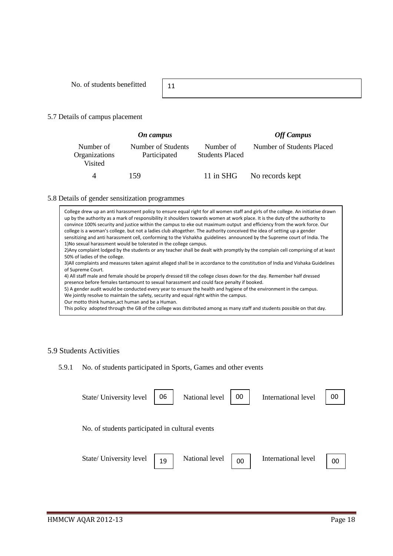No. of students benefitted

11

## 5.7 Details of campus placement

| On campus                             |                                    |                                     | <b>Off Campus</b>         |
|---------------------------------------|------------------------------------|-------------------------------------|---------------------------|
| Number of<br>Organizations<br>Visited | Number of Students<br>Participated | Number of<br><b>Students Placed</b> | Number of Students Placed |
| $\Delta$                              | 159                                |                                     | 11 in SHG No records kept |

#### 5.8 Details of gender sensitization programmes

College drew up an anti harassment policy to ensure equal right for all women staff and girls of the college. An initiative drawn up by the authority as a mark of responsibility it shoulders towards women at work place. It is the duty of the authority to convince 100% security and justice within the campus to eke out maximum output and efficiency from the work force. Our college is a woman's college, but not a ladies club altogether. The authority conceived the idea of setting up a gender sensitizing and anti harassment cell, conforming to the Vishakha guidelines announced by the Supreme court of India. The 1)No sexual harassment would be tolerated in the college campus. 2)Any complaint lodged by the students or any teacher shall be dealt with promptly by the complain cell comprising of at least 50% of ladies of the college. 3)All complaints and measures taken against alleged shall be in accordance to the constitution of India and Vishaka Guidelines of Supreme Court. 4) All staff male and female should be properly dressed till the college closes down for the day. Remember half dressed presence before females tantamount to sexual harassment and could face penalty if booked. 5) A gender audit would be conducted every year to ensure the health and hygiene of the environment in the campus. We jointly resolve to maintain the safety, security and equal right within the campus. Our motto think human,act human and be a Human. This policy adopted through the GB of the college was distributed among as many staff and students possible on that day.

## 5.9 Students Activities

## 5.9.1 No. of students participated in Sports, Games and other events

| State/ University level                         | 06 | National level | 00 | International level | 00 |
|-------------------------------------------------|----|----------------|----|---------------------|----|
| No. of students participated in cultural events |    |                |    |                     |    |
| State/ University level                         | 19 | National level | 00 | International level | 00 |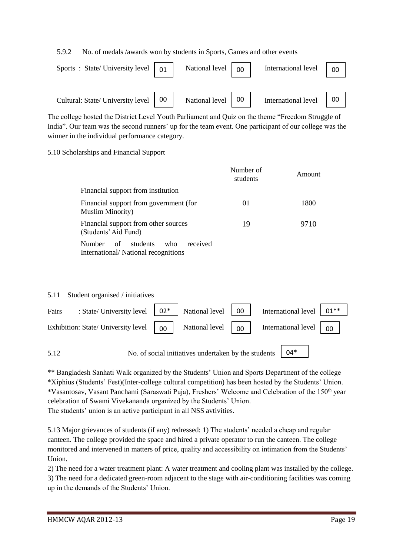5.9.2 No. of medals /awards won by students in Sports, Games and other events

| Sports : State/University level $\begin{bmatrix} 0 & 1 \end{bmatrix}$ |    | National level | 00 | International level | 00 |
|-----------------------------------------------------------------------|----|----------------|----|---------------------|----|
| Cultural: State/ University level                                     | 00 | National level | 00 | International level | 00 |

The college hosted the District Level Youth Parliament and Quiz on the theme "Freedom Struggle of India". Our team was the second runners' up for the team event. One participant of our college was the winner in the individual performance category.

## 5.10 Scholarships and Financial Support

|                                                                                           | Number of<br>students | Amount |
|-------------------------------------------------------------------------------------------|-----------------------|--------|
| Financial support from institution                                                        |                       |        |
| Financial support from government (for<br><b>Muslim Minority</b> )                        | 01                    | 1800   |
| Financial support from other sources<br>(Students' Aid Fund)                              | 19                    | 9710   |
| received<br>students<br>who<br><b>Number</b><br>of<br>International/National recognitions |                       |        |

| 5.11  | Student organised / initiatives     |    |                                                      |    |                                                            |        |
|-------|-------------------------------------|----|------------------------------------------------------|----|------------------------------------------------------------|--------|
| Fairs | : State/ University level   02*     |    | National level                                       | 00 | International level                                        | $01**$ |
|       | Exhibition: State/ University level | 00 | National level                                       | 00 | International level $\begin{bmatrix} 0 \\ 0 \end{bmatrix}$ |        |
| 5.12  |                                     |    | No. of social initiatives undertaken by the students |    | $04*$                                                      |        |

\*\* Bangladesh Sanhati Walk organized by the Students' Union and Sports Department of the college \*Xiphius (Students' Fest)(Inter-college cultural competition) has been hosted by the Students' Union. \*Vasantosav, Vasant Panchami (Saraswati Puja), Freshers' Welcome and Celebration of the 150<sup>th</sup> year celebration of Swami Vivekananda organized by the Students' Union. The students' union is an active participant in all NSS avtivities.

5.13 Major grievances of students (if any) redressed: 1) The students' needed a cheap and regular canteen. The college provided the space and hired a private operator to run the canteen. The college monitored and intervened in matters of price, quality and accessibility on intimation from the Students' Union.

2) The need for a water treatment plant: A water treatment and cooling plant was installed by the college. 3) The need for a dedicated green-room adjacent to the stage with air-conditioning facilities was coming up in the demands of the Students' Union.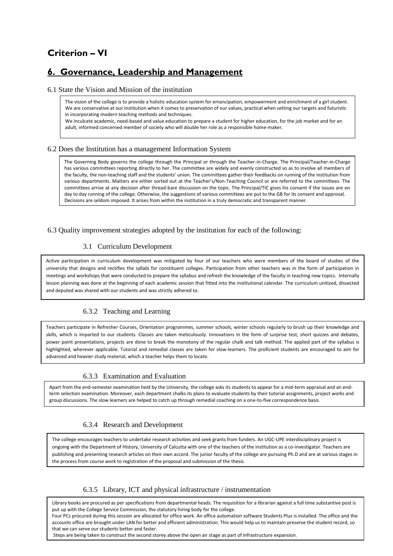# **Criterion – VI**

## **6. Governance, Leadership and Management**

#### 6.1 State the Vision and Mission of the institution

The vision of the college is to provide a holistic education system for emancipation, empowerment and enrichment of a girl student. We are conservative at our institution when it comes to preservation of our values, practical when setting our targets and futuristic in incorporating modern teaching methods and techniques.

We inculcate academic, need-based and value education to prepare a student for higher education, for the job market and for an adult, informed concerned member of society who will double her role as a responsible home-maker.

#### 6.2 Does the Institution has a management Information System

The Governing Body governs the college through the Principal or through the Teacher-in-Charge. The Principal/Teacher-in-Charge has various committees reporting directly to her. The committee are widely and evenly constructed so as to involve all members of the faculty, the non-teaching staff and the students' union. The committees gather their feedbacks on running of the institution from various departments. Matters are either sorted out at the Teacher's/Non-Teaching Council or are referred to the committees. The committees arrive at any decision after thread-bare discussion on the topic. The Principal/TIC gives his consent if the issues are on day to day running of the college. Otherwise, the suggestions of various committees are put to the GB for its consent and approval. Decisions are seldom imposed. It arises from within the institution in a truly democratic and transparent manner.

#### 6.3 Quality improvement strategies adopted by the institution for each of the following:

## 3.1 Curriculum Development

Active participation in curriculum development was mitigated by four of our teachers who were members of the board of studies of the university that designs and rectifies the syllabi for constituent colleges. Participation from other teachers was in the form of participation in meetings and workshops that were conducted to prepare the syllabus and refresh the knowledge of the faculty in teaching new topics. Internally lesson planning was done at the beginning of each academic session that fitted into the institutional calendar. The curriculum unitized, dissected and deputed was shared with our students and was strictly adhered to.

## 6.3.2 Teaching and Learning

Teachers participate in Refresher Courses, Orientation programmes, summer schools, winter schools regularly to brush up their knowledge and skills, which is imparted to our students. Classes are taken meticulously. Innovations in the form of surprise test, short quizzes and debates, power point presentations, projects are done to break the monotony of the regular chalk and talk method. The applied part of the syllabus is highlighted, wherever applicable. Tutorial and remedial classes are taken for slow-learners. The proficient students are encouraged to aim for advanced and heavier study material, which a teacher helps them to locate.

### 6.3.3 Examination and Evaluation

Apart from the end-semester examination held by the University, the college asks its students to appear for a mid-term appraisal and an endterm selection examination. Moreover, each department chalks its plans to evaluate students by their tutorial assignments, project works and group discussions. The slow learners are helped to catch up through remedial coaching on a one-to-five correspondence basis.

### 6.3.4 Research and Development

The college encourages teachers to undertake research activities and seek grants from funders. An UGC-UPE interdisciplinary project is ongoing with the Department of History, University of Calcutta with one of the teachers of the institution as a co-investigator. Teachers are publishing and presenting research articles on their own accord. The junior faculty of the college are pursuing Ph.D and are at various stages in the process from course work to registration of the proposal and submission of the thesis.

### 6.3.5 Library, ICT and physical infrastructure / instrumentation

Library books are procured as per specifications from departmental heads. The requisition for a librarian against a full time substantive post is put up with the College Service Commission, the statutory hiring body for the college.

Hodi Pes procured during this session are anotated for once work. An once additionation sortware students Pius is instance. The once and the<br>accounts office are brought under LAN for better and efficient administration. Th Four PCs procured during this session are allocated for office work. An office automation software Students Plus is installed. The office and the that we can serve our students better and faster.

Steps are being taken to construct the second storey above the open air stage as part of infrastructure expansion.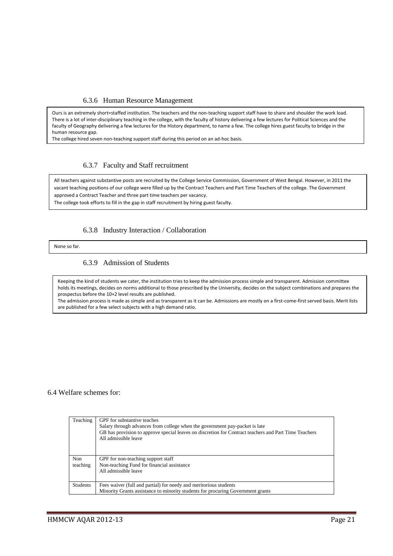### 6.3.6 Human Resource Management

Ours is an extremely short=staffed institution. The teachers and the non-teaching support staff have to share and shoulder the work load. There is a lot of inter-disciplinary teaching in the college, with the faculty of history delivering a few lectures for Political Sciences and the faculty of Geography delivering a few lectures for the History department, to name a few. The college hires guest faculty to bridge in the human resource gap.

The college hired seven non-teaching support staff during this period on an ad-hoc basis.

#### 6.3.7 Faculty and Staff recruitment

All teachers against substantive posts are recruited by the College Service Commission, Government of West Bengal. However, in 2011 the vacant teaching positions of our college were filled up by the Contract Teachers and Part Time Teachers of the college. The Government approved a Contract Teacher and three part time teachers per vacancy.

The college took efforts to fill in the gap in staff recruitment by hiring guest faculty.

#### 6.3.8 Industry Interaction / Collaboration

None so far.

#### 6.3.9 Admission of Students

Keeping the kind of students we cater, the institution tries to keep the admission process simple and transparent. Admission committee holds its meetings, decides on norms additional to those prescribed by the University, decides on the subject combinations and prepares the prospectus before the 10+2 level results are published.

The admission process is made as simple and as transparent as it can be. Admissions are mostly on a first-come-first served basis. Merit lists are published for a few select subjects with a high demand ratio.

### 6.4 Welfare schemes for:

| Teaching         | GPF for substantive teaches<br>Salary through advances from college when the government pay-packet is late<br>GB has provision to approve special leaves on discretion for Contract teachers and Part Time Teachers<br>All admissible leave |
|------------------|---------------------------------------------------------------------------------------------------------------------------------------------------------------------------------------------------------------------------------------------|
| Non.<br>teaching | GPF for non-teaching support staff<br>Non-teaching Fund for financial assistance                                                                                                                                                            |
|                  | All admissible leave                                                                                                                                                                                                                        |
| <b>Students</b>  | Fees waiver (full and partial) for needy and meritorious students<br>Minority Grants assistance to minority students for procuring Government grants                                                                                        |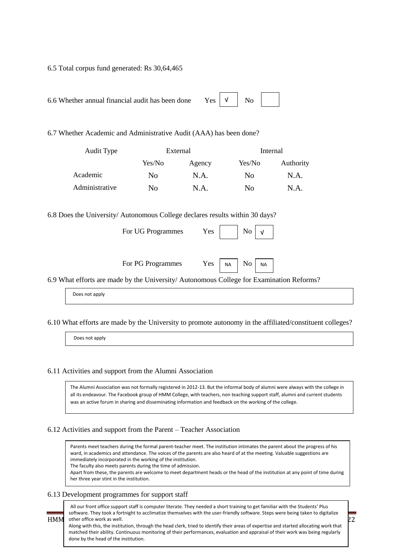6.5 Total corpus fund generated: Rs 30,64,465

6.7 Whether Academic and Administrative Audit (AAA) has been done?

| Audit Type     |        | External |                | Internal  |
|----------------|--------|----------|----------------|-----------|
|                | Yes/No | Agency   | Yes/No         | Authority |
| Academic       | No.    | N.A.     | N <sub>0</sub> | N.A.      |
| Administrative | No     | N.A.     | No             | N.A.      |

6.8 Does the University/ Autonomous College declares results within 30 days?

For UG Programmes Yes

| N <sub>0</sub> | J |  |
|----------------|---|--|

 $\overline{N_0}$  NA

| For PG Programmes | $Yes \mid NA$ |  |
|-------------------|---------------|--|
|-------------------|---------------|--|

6.9 What efforts are made by the University/ Autonomous College for Examination Reforms?

Does not apply

6.10 What efforts are made by the University to promote autonomy in the affiliated/constituent colleges?

Does not apply

#### 6.11 Activities and support from the Alumni Association

The Alumni Association was not formally registered in 2012-13. But the informal body of alumni were always with the college in all its endeavour. The Facebook group of HMM College, with teachers, non teaching support staff, alumni and current students was an active forum in sharing and disseminating information and feedback on the working of the college.

#### 6.12 Activities and support from the Parent – Teacher Association

Parents meet teachers during the formal parent-teacher meet. The institution intimates the parent about the progress of his ward, in academics and attendance. The voices of the parents are also heard of at the meeting. Valuable suggestions are immediately incorporated in the working of the institution.

The faculty also meets parents during the time of admission.

Apart from these, the parents are welcome to meet department heads or the head of the institution at any point of time during her three year stint in the institution.

### 6.13 Development programmes for support staff

 $HMM$  other office work as well.  $22$ All our front office support staff is computer literate. They needed a short training to get familiar with the Students' Plus software. They took a fortnight to acclimatize themselves with the user-friendly software. Steps were being taken to digitalize Along with this, the institution, through the head clerk, tried to identify their areas of expertise and started allocating work that matched their ability. Continuous monitoring of their performances, evaluation and appraisal of their work was being regularly done by the head of the institution.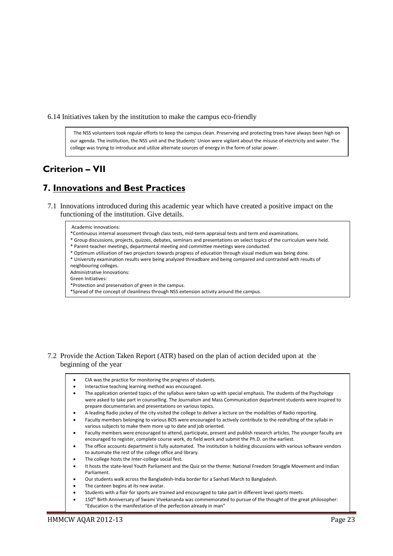6.14 Initiatives taken by the institution to make the campus eco-friendly

 The NSS volunteers took regular efforts to keep the campus clean. Preserving and protecting trees have always been high on our agenda. The institution, the NSS unit and the Students' Union were vigilant about the misuse of electricity and water. The college was trying to introduce and utilize alternate sources of energy in the form of solar power.

## **Criterion – VII**

## **7. Innovations and Best Practices**

7.1 Innovations introduced during this academic year which have created a positive impact on the functioning of the institution. Give details.

#### Academic innovations:

- \*Continuous internal assessment through class tests, mid-term appraisal tests and term end examinations.
- \* Group discussions, projects, quizzes, debates, seminars and presentations on select topics of the curriculum were held.
- \* Parent-teacher meetings, departmental meeting and committee meetings were conducted.
- \* Optimum utilization of two projectors towards progress of education through visual medium was being done.
- \* University examination results were being analyzed threadbare and being compared and contrasted with results of neighbouring colleges.
- Administrative Innovations:

Green Initiatives:

- \*Protection and preservation of green in the campus.
- \*Spread of the concept of cleanliness through NSS extension activity around the campus.

- 7.2 Provide the Action Taken Report (ATR) based on the plan of action decided upon at the beginning of the year
	- CIA was the practice for monitoring the progress of students.
	- Interactive teaching learning method was encouraged.
	- The application oriented topics of the syllabus were taken up with special emphasis. The students of the Psychology were asked to take part in counselling. The Journalism and Mass Communication department students were inspired to prepare documentaries and presentations on various topics.
		- A leading Radio jockey of the city visited the college to deliver a lecture on the modalities of Radio reporting.
	- Faculty members belonging to various BOS were encouraged to actively contribute to the redrafting of the syllabi in various subjects to make them more up to date and job oriented.
	- Faculty members were encouraged to attend, participate, present and publish research articles. The younger faculty are encouraged to register, complete course work, do field work and submit the Ph.D. on the earliest.
	- The office accounts department is fully automated. The institution is holding discussions with various software vendors to automate the rest of the college office and library.
	- The college hosts the Inter-college social fest.
	- It hosts the state-level Youth Parliament and the Quiz on the theme: National Freedom Struggle Movement and Indian Parliament.
	- Our students walk across the Bangladesh-India border for a Sanhati March to Bangladesh.
	- The canteen begins at its new avatar.
	- Students with a flair for sports are trained and encouraged to take part in different level sports meets.
	- 150<sup>th</sup> Birth Anniversary of Swami Vivekananda was commemorated to pursue of the thought of the great philosopher: "Education is the manifestation of the perfection already in man"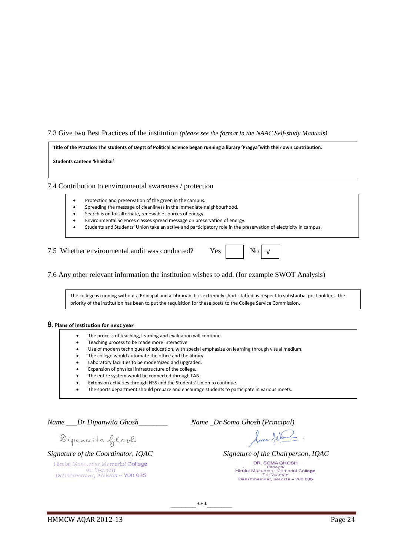#### 7.3 Give two Best Practices of the institution *(please see the format in the NAAC Self-study Manuals)*

**Title of the Practice: The students of Deptt of Political Science began running a library 'Pragya"with their own contribution.**

**Students canteen 'khaikhai'**

7.4 Contribution to environmental awareness / protection

- Protection and preservation of the green in the campus.
- Spreading the message of cleanliness in the immediate neighbourhood.
- Search is on for alternate, renewable sources of energy.
- Environmental Sciences classes spread message on preservation of energy.
- Students and Students' Union take an active and participatory role in the preservation of electricity in campus.

7.5 Whether environmental audit was conducted? Yes No

√

7.6 Any other relevant information the institution wishes to add. (for example SWOT Analysis)

The college is running without a Principal and a Librarian. It is extremely short-staffed as respect to substantial post holders. The priority of the institution has been to put the requisition for these posts to the College Service Commission.

#### 8**. Plans of institution for next year**

- The process of teaching, learning and evaluation will continue.
- Teaching process to be made more interactive.
- Use of modern techniques of education, with special emphasize on learning through visual medium.
- The college would automate the office and the library.
- Laboratory facilities to be modernized and upgraded.
- Expansion of physical infrastructure of the college.
- The entire system would be connected through LAN.
- Extension activities through NSS and the Students' Union to continue.
- The sports department should prepare and encourage students to participate in various meets.

*Name \_\_\_Dr Dipanwita Ghosh\_\_\_\_\_\_\_\_ Name \_Dr Soma Ghosh (Principal)* 

loma GIL.

*Signature of the Chairperson, IQAC* DR. SOMA GHOSH Principal<br>Hiralal Mazumdar Memorial College<br>Dakshineswar, Kolkata - 700 035

Dipancoita Ghosh

Signature of the Coordinator, IOAC

Hiralal Mazumdar Memorial College for Women Dakshineswar, Kolkata - 700 035

*\_\_\_\_\_\_\_\*\*\*\_\_\_\_\_\_\_*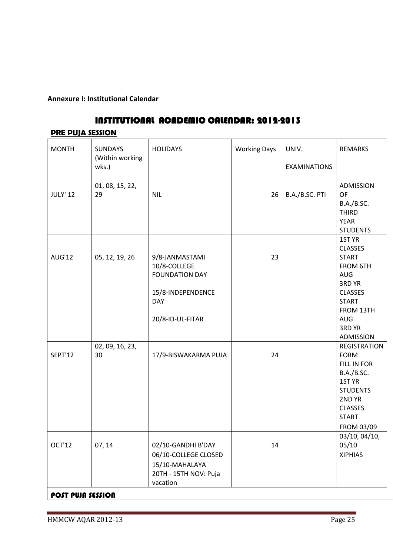## **Annexure I: Institutional Calendar**

# INSTITUTIONAL ACADEMIC CALENDAR: 2012-2013

## **PRE PUJA SESSION**

| <b>MONTH</b>                       | <b>SUNDAYS</b><br>(Within working | <b>HOLIDAYS</b>                                                                                                | <b>Working Days</b> | UNIV.               | <b>REMARKS</b>                                                                                                                                                   |
|------------------------------------|-----------------------------------|----------------------------------------------------------------------------------------------------------------|---------------------|---------------------|------------------------------------------------------------------------------------------------------------------------------------------------------------------|
|                                    | wks.)                             |                                                                                                                |                     | <b>EXAMINATIONS</b> |                                                                                                                                                                  |
| <b>JULY' 12</b>                    | 01, 08, 15, 22,<br>29             | <b>NIL</b>                                                                                                     | 26                  | B.A./B.SC. PTI      | <b>ADMISSION</b><br><b>OF</b><br>B.A./B.SC.<br><b>THIRD</b><br><b>YEAR</b><br><b>STUDENTS</b>                                                                    |
| <b>AUG'12</b>                      | 05, 12, 19, 26                    | 9/8-JANMASTAMI<br>10/8-COLLEGE<br><b>FOUNDATION DAY</b><br>15/8-INDEPENDENCE<br><b>DAY</b><br>20/8-ID-UL-FITAR | 23                  |                     | 1ST YR<br><b>CLASSES</b><br><b>START</b><br><b>FROM 6TH</b><br>AUG<br>3RD YR<br><b>CLASSES</b><br><b>START</b><br>FROM 13TH<br><b>AUG</b><br>3RD YR<br>ADMISSION |
| <b>SEPT'12</b>                     | 02, 09, 16, 23,<br>30             | 17/9-BISWAKARMA PUJA                                                                                           | 24                  |                     | <b>REGISTRATION</b><br><b>FORM</b><br>FILL IN FOR<br><b>B.A./B.SC.</b><br>1ST YR<br><b>STUDENTS</b><br>2ND YR<br><b>CLASSES</b><br><b>START</b><br>FROM 03/09    |
| OCT'12<br><b>POST PUJA SESSION</b> | 07, 14                            | 02/10-GANDHI B'DAY<br>06/10-COLLEGE CLOSED<br>15/10-MAHALAYA<br>20TH - 15TH NOV: Puja<br>vacation              | 14                  |                     | 03/10, 04/10,<br>05/10<br><b>XIPHIAS</b>                                                                                                                         |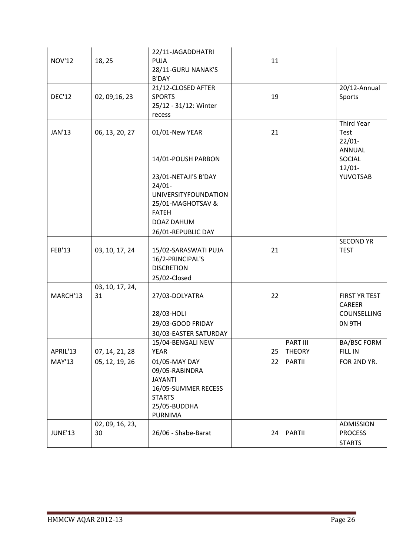| <b>NOV'12</b>  | 18, 25                | 22/11-JAGADDHATRI<br><b>PUJA</b><br>28/11-GURU NANAK'S<br><b>B'DAY</b>                                                                    | 11 |                           |                                                         |
|----------------|-----------------------|-------------------------------------------------------------------------------------------------------------------------------------------|----|---------------------------|---------------------------------------------------------|
| <b>DEC'12</b>  | 02, 09, 16, 23        | 21/12-CLOSED AFTER<br><b>SPORTS</b><br>25/12 - 31/12: Winter<br>recess                                                                    | 19 |                           | 20/12-Annual<br>Sports                                  |
| <b>JAN'13</b>  | 06, 13, 20, 27        | 01/01-New YEAR                                                                                                                            | 21 |                           | <b>Third Year</b><br>Test<br>$22/01 -$<br><b>ANNUAL</b> |
|                |                       | 14/01-POUSH PARBON                                                                                                                        |    |                           | SOCIAL<br>$12/01 -$                                     |
|                |                       | 23/01-NETAJI'S B'DAY<br>$24/01 -$<br><b>UNIVERSITYFOUNDATION</b><br>25/01-MAGHOTSAV &<br><b>FATEH</b><br>DOAZ DAHUM<br>26/01-REPUBLIC DAY |    |                           | YUVOTSAB                                                |
| <b>FEB'13</b>  | 03, 10, 17, 24        | 15/02-SARASWATI PUJA<br>16/2-PRINCIPAL'S<br><b>DISCRETION</b><br>25/02-Closed                                                             | 21 |                           | <b>SECOND YR</b><br><b>TEST</b>                         |
| MARCH'13       | 03, 10, 17, 24,<br>31 | 27/03-DOLYATRA<br>28/03-HOLI<br>29/03-GOOD FRIDAY<br>30/03-EASTER SATURDAY                                                                | 22 |                           | FIRST YR TEST<br><b>CAREER</b><br>COUNSELLING<br>ON 9TH |
| APRIL'13       | 07, 14, 21, 28        | 15/04-BENGALI NEW<br><b>YEAR</b>                                                                                                          | 25 | PART III<br><b>THEORY</b> | <b>BA/BSC FORM</b><br>FILL IN                           |
| <b>MAY'13</b>  | 05, 12, 19, 26        | 01/05-MAY DAY<br>09/05-RABINDRA<br><b>JAYANTI</b><br>16/05-SUMMER RECESS<br><b>STARTS</b><br>25/05-BUDDHA<br><b>PURNIMA</b>               | 22 | <b>PARTII</b>             | FOR 2ND YR.                                             |
| <b>JUNE'13</b> | 02, 09, 16, 23,<br>30 | 26/06 - Shabe-Barat                                                                                                                       | 24 | <b>PARTII</b>             | ADMISSION<br><b>PROCESS</b><br><b>STARTS</b>            |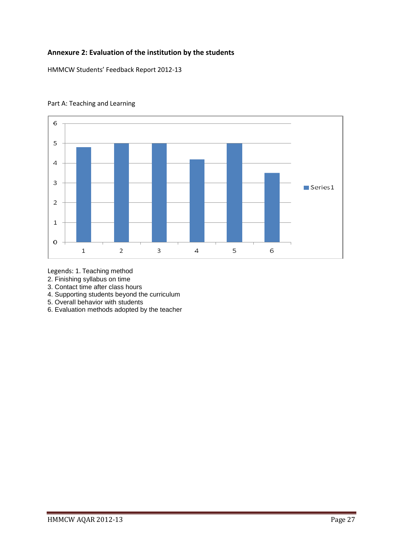## **Annexure 2: Evaluation of the institution by the students**

HMMCW Students' Feedback Report 2012-13



## Part A: Teaching and Learning

Legends: 1. Teaching method

2. Finishing syllabus on time

3. Contact time after class hours

4. Supporting students beyond the curriculum

5. Overall behavior with students

6. Evaluation methods adopted by the teacher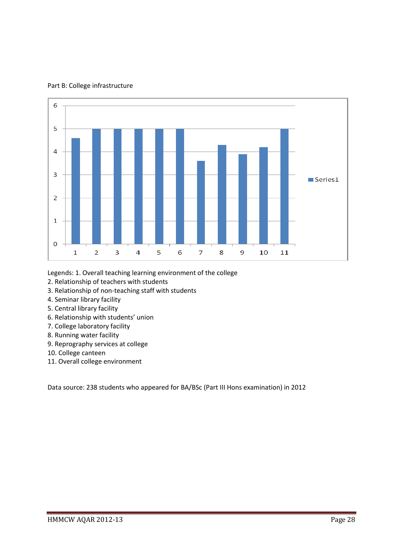

Part B: College infrastructure

Legends: 1. Overall teaching learning environment of the college

- 2. Relationship of teachers with students
- 3. Relationship of non-teaching staff with students
- 4. Seminar library facility
- 5. Central library facility
- 6. Relationship with students' union
- 7. College laboratory facility
- 8. Running water facility
- 9. Reprography services at college
- 10. College canteen
- 11. Overall college environment

Data source: 238 students who appeared for BA/BSc (Part III Hons examination) in 2012